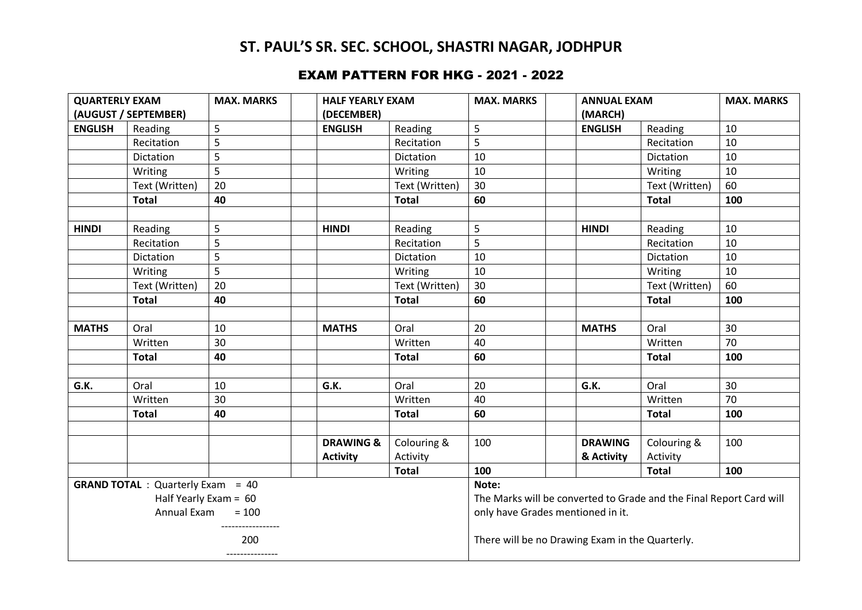# **ST. PAUL'S SR. SEC. SCHOOL, SHASTRI NAGAR, JODHPUR**

#### EXAM PATTERN FOR HKG - 2021 - 2022

| <b>QUARTERLY EXAM</b>                                                                         |                | <b>MAX. MARKS</b> | <b>HALF YEARLY EXAM</b> |                                                                                                                   | <b>MAX. MARKS</b>                               | <b>ANNUAL EXAM</b> |                | <b>MAX. MARKS</b> |
|-----------------------------------------------------------------------------------------------|----------------|-------------------|-------------------------|-------------------------------------------------------------------------------------------------------------------|-------------------------------------------------|--------------------|----------------|-------------------|
| (AUGUST / SEPTEMBER)                                                                          |                |                   | (DECEMBER)              |                                                                                                                   | (MARCH)                                         |                    |                |                   |
| <b>ENGLISH</b>                                                                                | Reading        | 5                 | <b>ENGLISH</b>          | Reading                                                                                                           | 5                                               | <b>ENGLISH</b>     | Reading        | 10                |
|                                                                                               | Recitation     | 5                 |                         | Recitation                                                                                                        | 5                                               |                    | Recitation     | 10                |
|                                                                                               | Dictation      | 5                 |                         | Dictation                                                                                                         | 10                                              |                    | Dictation      | 10                |
|                                                                                               | Writing        | 5                 |                         | Writing                                                                                                           | 10                                              |                    | Writing        | 10                |
|                                                                                               | Text (Written) | 20                |                         | Text (Written)                                                                                                    | 30                                              |                    | Text (Written) | 60                |
|                                                                                               | <b>Total</b>   | 40                |                         | <b>Total</b>                                                                                                      | 60                                              |                    | <b>Total</b>   | 100               |
| <b>HINDI</b>                                                                                  | Reading        | 5                 | <b>HINDI</b>            | Reading                                                                                                           | 5                                               | <b>HINDI</b>       | Reading        | 10                |
|                                                                                               | Recitation     | 5                 |                         | Recitation                                                                                                        | 5                                               |                    | Recitation     | 10                |
|                                                                                               | Dictation      | 5                 |                         | Dictation                                                                                                         | 10                                              |                    | Dictation      | 10                |
|                                                                                               | Writing        | 5                 |                         | Writing                                                                                                           | 10                                              |                    | Writing        | 10                |
|                                                                                               | Text (Written) | 20                |                         | Text (Written)                                                                                                    | 30                                              |                    | Text (Written) | 60                |
|                                                                                               | <b>Total</b>   | 40                |                         | <b>Total</b>                                                                                                      | 60                                              |                    | <b>Total</b>   | 100               |
|                                                                                               |                |                   |                         |                                                                                                                   |                                                 |                    |                |                   |
| <b>MATHS</b>                                                                                  | Oral           | 10                | <b>MATHS</b>            | Oral                                                                                                              | 20                                              | <b>MATHS</b>       | Oral           | 30                |
|                                                                                               | Written        | 30                |                         | Written                                                                                                           | 40                                              |                    | Written        | 70                |
|                                                                                               | <b>Total</b>   | 40                |                         | <b>Total</b>                                                                                                      | 60                                              |                    | <b>Total</b>   | 100               |
| G.K.                                                                                          | Oral           | 10                | G.K.                    | Oral                                                                                                              | 20                                              | G.K.               | Oral           | 30                |
|                                                                                               | Written        | 30                |                         | Written                                                                                                           | 40                                              |                    | Written        | 70                |
|                                                                                               | <b>Total</b>   | 40                |                         | <b>Total</b>                                                                                                      | 60                                              |                    | <b>Total</b>   | 100               |
|                                                                                               |                |                   |                         |                                                                                                                   |                                                 |                    |                |                   |
|                                                                                               |                |                   | <b>DRAWING &amp;</b>    | Colouring &                                                                                                       | 100                                             | <b>DRAWING</b>     | Colouring &    | 100               |
|                                                                                               |                |                   | <b>Activity</b>         | Activity                                                                                                          |                                                 | & Activity         | Activity       |                   |
|                                                                                               |                |                   |                         | <b>Total</b>                                                                                                      | 100                                             |                    | <b>Total</b>   | 100               |
| <b>GRAND TOTAL</b> : Quarterly Exam = 40<br>Half Yearly Exam = $60$<br>$= 100$<br>Annual Exam |                |                   |                         | Note:<br>The Marks will be converted to Grade and the Final Report Card will<br>only have Grades mentioned in it. |                                                 |                    |                |                   |
| 200<br>---------------                                                                        |                |                   |                         |                                                                                                                   | There will be no Drawing Exam in the Quarterly. |                    |                |                   |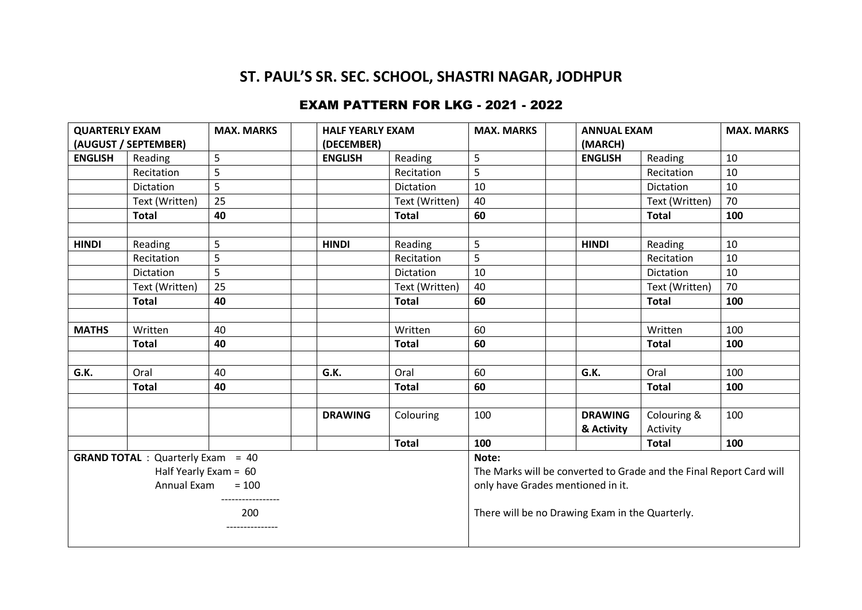## **ST. PAUL'S SR. SEC. SCHOOL, SHASTRI NAGAR, JODHPUR**

### EXAM PATTERN FOR LKG - 2021 - 2022

| <b>QUARTERLY EXAM</b>                    |                | <b>MAX. MARKS</b> |                | <b>HALF YEARLY EXAM</b> |                                                                     | <b>ANNUAL EXAM</b>           |                         | <b>MAX. MARKS</b> |
|------------------------------------------|----------------|-------------------|----------------|-------------------------|---------------------------------------------------------------------|------------------------------|-------------------------|-------------------|
| (AUGUST / SEPTEMBER)                     |                |                   | (DECEMBER)     |                         |                                                                     | (MARCH)                      |                         |                   |
| <b>ENGLISH</b>                           | Reading        | 5                 | <b>ENGLISH</b> | Reading                 | 5                                                                   | <b>ENGLISH</b>               | Reading                 | 10                |
|                                          | Recitation     | 5                 |                | Recitation              | 5                                                                   |                              | Recitation              | 10                |
|                                          | Dictation      | 5                 |                | Dictation               | 10                                                                  |                              | Dictation               | 10                |
|                                          | Text (Written) | 25                |                | Text (Written)          | 40                                                                  |                              | Text (Written)          | 70                |
|                                          | <b>Total</b>   | 40                |                | <b>Total</b>            | 60                                                                  |                              | <b>Total</b>            | 100               |
|                                          |                |                   |                |                         |                                                                     |                              |                         |                   |
| <b>HINDI</b>                             | Reading        | 5                 | <b>HINDI</b>   | Reading                 | 5                                                                   | <b>HINDI</b>                 | Reading                 | 10                |
|                                          | Recitation     | 5                 |                | Recitation              | 5                                                                   |                              | Recitation              | 10                |
|                                          | Dictation      | 5                 |                | Dictation               | 10                                                                  |                              | Dictation               | 10                |
|                                          | Text (Written) | 25                |                | Text (Written)          | 40                                                                  |                              | Text (Written)          | 70                |
|                                          | <b>Total</b>   | 40                |                | <b>Total</b>            | 60                                                                  |                              | <b>Total</b>            | 100               |
|                                          |                |                   |                |                         |                                                                     |                              |                         |                   |
| <b>MATHS</b>                             | Written        | 40                |                | Written                 | 60                                                                  |                              | Written                 | 100               |
|                                          | <b>Total</b>   | 40                |                | <b>Total</b>            | 60                                                                  |                              | <b>Total</b>            | 100               |
|                                          |                |                   |                |                         |                                                                     |                              |                         |                   |
| G.K.                                     | Oral           | 40                | G.K.           | Oral                    | 60                                                                  | G.K.                         | Oral                    | 100               |
|                                          | <b>Total</b>   | 40                |                | <b>Total</b>            | 60                                                                  |                              | <b>Total</b>            | 100               |
|                                          |                |                   | <b>DRAWING</b> | Colouring               | 100                                                                 | <b>DRAWING</b><br>& Activity | Colouring &<br>Activity | 100               |
|                                          |                |                   |                | <b>Total</b>            | 100                                                                 |                              | <b>Total</b>            | 100               |
| <b>GRAND TOTAL</b> : Quarterly Exam = 40 |                |                   |                |                         | Note:                                                               |                              |                         |                   |
| Half Yearly Exam = 60                    |                |                   |                |                         | The Marks will be converted to Grade and the Final Report Card will |                              |                         |                   |
| Annual Exam<br>$= 100$                   |                |                   |                |                         | only have Grades mentioned in it.                                   |                              |                         |                   |
| 200<br>.                                 |                |                   |                |                         | There will be no Drawing Exam in the Quarterly.                     |                              |                         |                   |